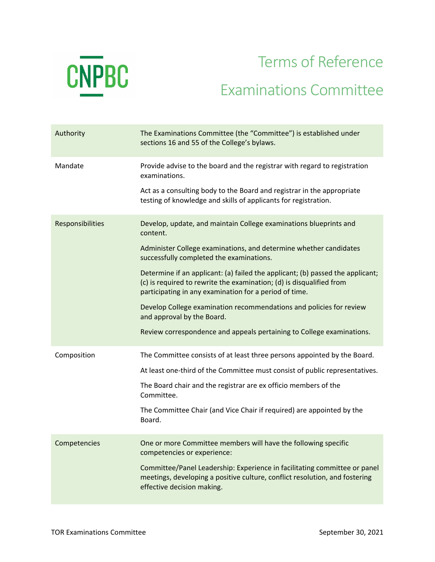

## Terms of Reference Examinations Committee

| Authority        | The Examinations Committee (the "Committee") is established under<br>sections 16 and 55 of the College's bylaws.                                                                                                 |
|------------------|------------------------------------------------------------------------------------------------------------------------------------------------------------------------------------------------------------------|
| Mandate          | Provide advise to the board and the registrar with regard to registration<br>examinations.                                                                                                                       |
|                  | Act as a consulting body to the Board and registrar in the appropriate<br>testing of knowledge and skills of applicants for registration.                                                                        |
| Responsibilities | Develop, update, and maintain College examinations blueprints and<br>content.                                                                                                                                    |
|                  | Administer College examinations, and determine whether candidates<br>successfully completed the examinations.                                                                                                    |
|                  | Determine if an applicant: (a) failed the applicant; (b) passed the applicant;<br>(c) is required to rewrite the examination; (d) is disqualified from<br>participating in any examination for a period of time. |
|                  | Develop College examination recommendations and policies for review<br>and approval by the Board.                                                                                                                |
|                  | Review correspondence and appeals pertaining to College examinations.                                                                                                                                            |
| Composition      | The Committee consists of at least three persons appointed by the Board.                                                                                                                                         |
|                  | At least one-third of the Committee must consist of public representatives.                                                                                                                                      |
|                  | The Board chair and the registrar are ex officio members of the<br>Committee.                                                                                                                                    |
|                  | The Committee Chair (and Vice Chair if required) are appointed by the<br>Board.                                                                                                                                  |
| Competencies     | One or more Committee members will have the following specific<br>competencies or experience:                                                                                                                    |
|                  | Committee/Panel Leadership: Experience in facilitating committee or panel<br>meetings, developing a positive culture, conflict resolution, and fostering<br>effective decision making.                           |